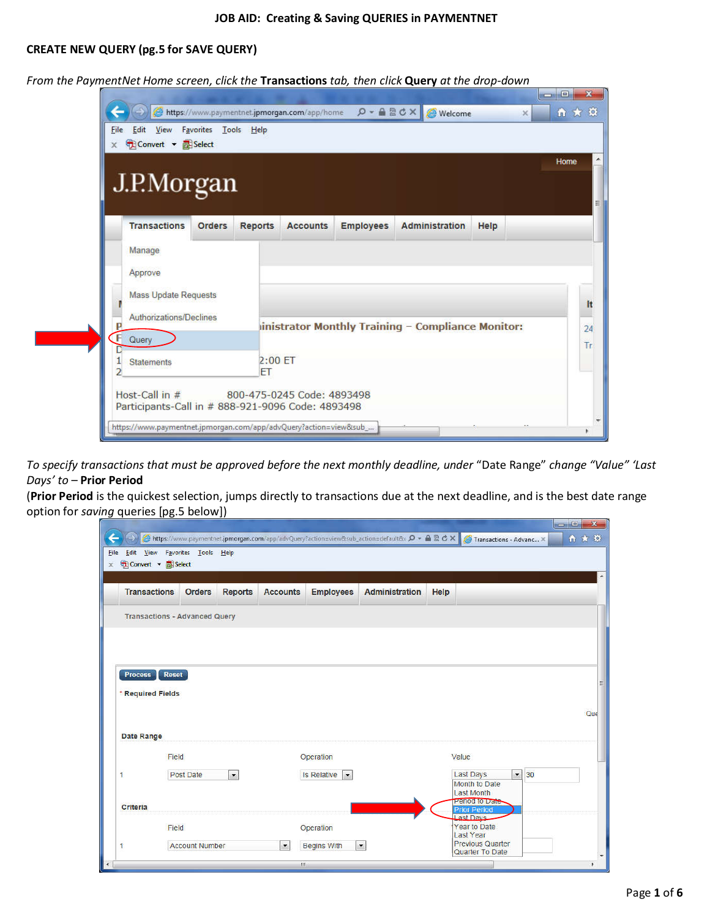## CREATE NEW QUERY (pg.5 for SAVE QUERY)

From the PaymentNet Home screen, click the Transactions tab, then click Query at the drop-down

| J.P.Morgan                  |               |                |                 |                  |                                                   |      | Home |
|-----------------------------|---------------|----------------|-----------------|------------------|---------------------------------------------------|------|------|
| <b>Transactions</b>         | <b>Orders</b> | <b>Reports</b> | <b>Accounts</b> | <b>Employees</b> | <b>Administration</b>                             | Help |      |
|                             |               |                |                 |                  |                                                   |      |      |
| Manage                      |               |                |                 |                  |                                                   |      |      |
| Approve                     |               |                |                 |                  |                                                   |      |      |
| <b>Mass Update Requests</b> |               |                |                 |                  |                                                   |      |      |
| Authorizations/Declines     |               |                |                 |                  |                                                   |      |      |
| p                           |               |                |                 |                  | inistrator Monthly Training - Compliance Monitor: |      |      |
| F<br>Query                  |               |                |                 |                  |                                                   |      |      |

To specify transactions that must be approved before the next monthly deadline, under "Date Range" change "Value" 'Last Days' to – Prior Period

(Prior Period is the quickest selection, jumps directly to transactions due at the next deadline, and is the best date range option for saving queries [pg.5 below])<u>and the state of the state of the state of the state of the state of the state of the state of the state of the state of the state of the state of the state of the state of the state of the state of the state of the state</u>

|                                                  | x Convert + <b>E</b> Select          |                |                 |                                            |                       |       |                                                             |    |     |
|--------------------------------------------------|--------------------------------------|----------------|-----------------|--------------------------------------------|-----------------------|-------|-------------------------------------------------------------|----|-----|
| <b>Transactions</b>                              | <b>Orders</b>                        | <b>Reports</b> | <b>Accounts</b> | <b>Employees</b>                           | <b>Administration</b> | Help  |                                                             |    |     |
|                                                  | <b>Transactions - Advanced Query</b> |                |                 |                                            |                       |       |                                                             |    |     |
|                                                  |                                      |                |                 |                                            |                       |       |                                                             |    |     |
|                                                  |                                      |                |                 |                                            |                       |       |                                                             |    |     |
| <b>Process</b>                                   | <b>Reset</b>                         |                |                 |                                            |                       |       |                                                             |    |     |
|                                                  |                                      |                |                 |                                            |                       |       |                                                             |    |     |
|                                                  |                                      |                |                 |                                            |                       |       |                                                             |    |     |
|                                                  |                                      |                |                 |                                            |                       |       |                                                             |    | Que |
|                                                  |                                      |                |                 |                                            |                       |       |                                                             |    |     |
|                                                  | Field                                |                |                 | Operation                                  |                       | Value |                                                             |    |     |
|                                                  | Post Date                            | $\bullet$      |                 | <b>Is Relative</b><br>$\blacktriangledown$ |                       |       | Last Days<br>$\overline{\phantom{a}}$                       | 30 |     |
|                                                  |                                      |                |                 |                                            |                       |       | Month to Date<br><b>Last Month</b>                          |    |     |
|                                                  |                                      |                |                 |                                            |                       |       | Period to Date<br><b>Prior Period</b>                       |    |     |
| * Required Fields<br>Date Range<br>1<br>Criteria | Field                                |                |                 | Operation                                  |                       |       | <b>Last Davs</b><br><b>Year to Date</b><br><b>Last Year</b> |    |     |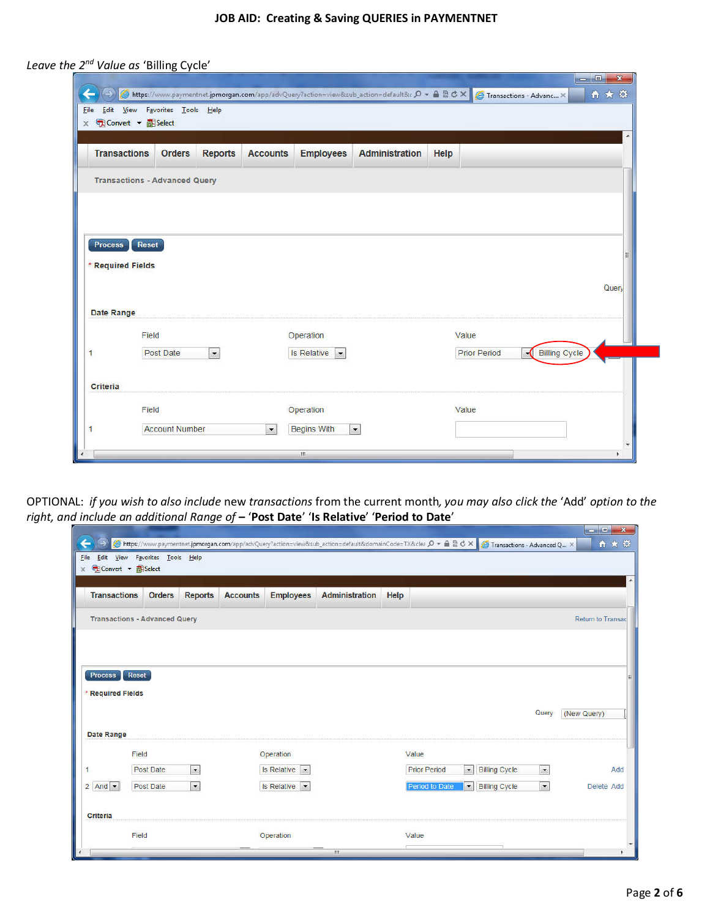| <b>Transactions</b> | <b>Orders</b>                        | <b>Reports</b> | <b>Accounts</b> | <b>Employees</b>                    | <b>Administration</b> | Help                |                |       |
|---------------------|--------------------------------------|----------------|-----------------|-------------------------------------|-----------------------|---------------------|----------------|-------|
|                     | <b>Transactions - Advanced Query</b> |                |                 |                                     |                       |                     |                |       |
|                     |                                      |                |                 |                                     |                       |                     |                |       |
|                     |                                      |                |                 |                                     |                       |                     |                |       |
| <b>Process</b>      |                                      |                |                 |                                     |                       |                     |                |       |
|                     | <b>Reset</b>                         |                |                 |                                     |                       |                     |                |       |
| * Required Fields   |                                      |                |                 |                                     |                       |                     |                |       |
|                     |                                      |                |                 |                                     |                       |                     |                | Query |
| Date Range          |                                      |                |                 |                                     |                       |                     |                |       |
|                     | Field                                |                |                 | Operation                           |                       | Value               |                |       |
| $\mathbf{1}$        | Post Date                            | $\bullet$      |                 | Is Relative<br>$\ddot{\phantom{0}}$ |                       | <b>Prior Period</b> | -Billing Cycle |       |
|                     |                                      |                |                 |                                     |                       |                     |                |       |
|                     |                                      |                |                 |                                     |                       |                     |                |       |
| Criteria            | Field                                |                |                 | Operation                           |                       | Value               |                |       |

Leave the 2<sup>nd</sup> Value as 'Billing Cycle'

OPTIONAL: if you wish to also include new transactions from the current month, you may also click the 'Add' option to the right, and include an additional Range of - 'Post Date' 'Is Relative' 'Period to Date' 

| ←<br>Eile  | Edit View<br>x Convert v B Select | Favorites Tools Help                 |                          |                 |                                                  |                       |      | G https://www.paymentnet.jpmorgan.com/app/advQuery?action=view⊂_action=default&domainCode=TX&clea $\mathcal{Q}$ + A $\mathbb{R} \otimes \mathcal{O} \times$ (A Transactions - Advanced Q × |                          | 合文章                      |
|------------|-----------------------------------|--------------------------------------|--------------------------|-----------------|--------------------------------------------------|-----------------------|------|--------------------------------------------------------------------------------------------------------------------------------------------------------------------------------------------|--------------------------|--------------------------|
|            | <b>Transactions</b>               |                                      |                          |                 |                                                  | <b>Administration</b> |      |                                                                                                                                                                                            |                          | ٠                        |
|            |                                   | <b>Orders</b>                        | <b>Reports</b>           | <b>Accounts</b> | <b>Employees</b>                                 |                       | Help |                                                                                                                                                                                            |                          |                          |
|            |                                   | <b>Transactions - Advanced Query</b> |                          |                 |                                                  |                       |      |                                                                                                                                                                                            |                          | <b>Return to Transac</b> |
|            |                                   |                                      |                          |                 |                                                  |                       |      |                                                                                                                                                                                            |                          |                          |
|            |                                   |                                      |                          |                 |                                                  |                       |      |                                                                                                                                                                                            |                          |                          |
|            | <b>Process</b>                    | Reset                                |                          |                 |                                                  |                       |      |                                                                                                                                                                                            |                          |                          |
|            | * Required Fields                 |                                      |                          |                 |                                                  |                       |      |                                                                                                                                                                                            | Query                    |                          |
|            |                                   |                                      |                          |                 |                                                  |                       |      |                                                                                                                                                                                            |                          | (New Query)              |
|            | Date Range                        |                                      |                          |                 |                                                  |                       |      |                                                                                                                                                                                            |                          |                          |
| 1          |                                   | Field<br>Post Date                   | $\blacktriangledown$     |                 | Operation<br><b>Is Relative</b><br>$\vert \cdot$ |                       |      | Value<br><b>Prior Period</b><br><b>Billing Cycle</b><br>$\blacktriangledown$                                                                                                               | $\overline{\phantom{a}}$ | Add                      |
|            | $2$ And $\bullet$                 | Post Date                            | $\overline{\phantom{a}}$ |                 | Is Relative                                      |                       |      | Period to Date<br>$\pmb{\cdot}$<br><b>Billing Cycle</b>                                                                                                                                    | $\overline{\phantom{a}}$ | Delete Add               |
|            |                                   |                                      |                          |                 |                                                  |                       |      |                                                                                                                                                                                            |                          |                          |
|            | Criteria                          |                                      |                          |                 |                                                  |                       |      |                                                                                                                                                                                            |                          |                          |
|            |                                   | Field                                |                          |                 | Operation                                        |                       |      | Value                                                                                                                                                                                      |                          |                          |
| $\epsilon$ |                                   |                                      |                          |                 |                                                  | m.                    |      |                                                                                                                                                                                            |                          |                          |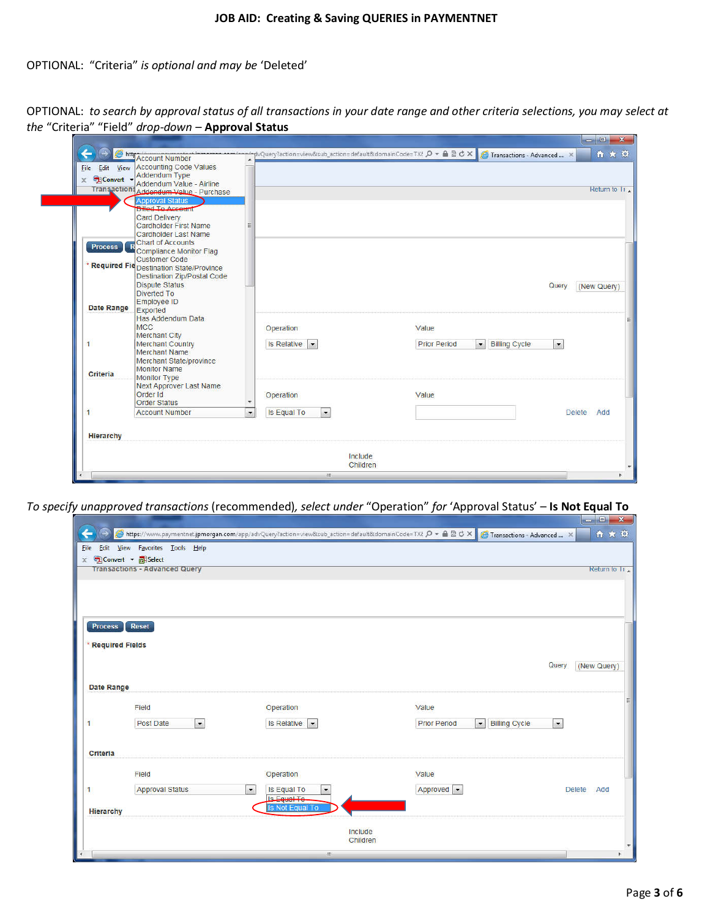# OPTIONAL: "Criteria" is optional and may be 'Deleted'

| OPTIONAL: to search by approval status of all transactions in your date range and other criteria selections, you may select at |                                   |
|--------------------------------------------------------------------------------------------------------------------------------|-----------------------------------|
| the "Criteria" "Field" drop-down - Approval Status                                                                             |                                   |
|                                                                                                                                | $\Box$ $\Box$ $\mathbf{x}$ $\Box$ |

| File<br>x <sup>6</sup> Convert - Addendum Type | http://www.htmber<br>Edit View Accounting Code Values<br>Addendum Value - Airline<br>Transactions Addendum Value - Purchase                                                                                                                                    |                                                                                        |                     |                                                               | 自大草<br>Return to T <sub>1</sub> |
|------------------------------------------------|----------------------------------------------------------------------------------------------------------------------------------------------------------------------------------------------------------------------------------------------------------------|----------------------------------------------------------------------------------------|---------------------|---------------------------------------------------------------|---------------------------------|
| <b>Process</b>                                 | <b>Approval Status</b><br><b>Billed To Account</b><br>Card Delivery<br><b>Cardholder First Name</b><br>Cardholder Last Name<br><b>Chart of Accounts</b><br><b>Compliance Monitor Flag</b><br><b>Customer Code</b><br>* Required Fie Destination State/Province |                                                                                        |                     |                                                               |                                 |
| Date Range                                     | <b>Destination Zip/Postal Code</b><br><b>Dispute Status</b><br><b>Diverted To</b><br>Employee ID<br>Exported<br>Has Addendum Data<br><b>MCC</b><br><b>Merchant City</b>                                                                                        | Operation                                                                              | Value               | Query                                                         | (New Query)                     |
| 1<br>Criteria                                  | <b>Merchant Country</b><br><b>Merchant Name</b><br>Merchant State/province<br><b>Monitor Name</b><br><b>Monitor Type</b><br>Next Approver Last Name                                                                                                            | Is Relative                                                                            | <b>Prior Period</b> | <b>Billing Cycle</b><br>$\overline{\phantom{a}}$<br>$\bullet$ |                                 |
|                                                | Order Id<br><b>Order Status</b><br><b>Account Number</b>                                                                                                                                                                                                       | Operation<br>$\overline{\phantom{a}}$<br>Is Equal To<br>$\overline{\phantom{a}}$<br>E. | Value               |                                                               | <b>Delete</b><br>Add            |
| <b>Hierarchy</b>                               |                                                                                                                                                                                                                                                                |                                                                                        |                     |                                                               |                                 |
|                                                |                                                                                                                                                                                                                                                                |                                                                                        | Include<br>Children |                                                               |                                 |

To specify unapproved transactions (recommended), select under "Operation" for 'Approval Status' - Is Not Equal To

| ←            |                  |                                                                |                                                                            | 6 https://www.paymentnet.jpmorgan.com/app/advQuery?action=view⊂_action=default&domainCode=TX{ p - △ 2 d × c atvanced  × | والمتعادل الالكار الاستارال<br>●★ 章 |
|--------------|------------------|----------------------------------------------------------------|----------------------------------------------------------------------------|-------------------------------------------------------------------------------------------------------------------------|-------------------------------------|
| <b>File</b>  |                  | Edit View Favorites Tools Help<br>x Convert + <b>ED</b> Select |                                                                            |                                                                                                                         |                                     |
|              |                  | <b>Transactions - Advanced Query</b>                           |                                                                            |                                                                                                                         | Return to 11                        |
|              |                  |                                                                |                                                                            |                                                                                                                         |                                     |
|              |                  |                                                                |                                                                            |                                                                                                                         |                                     |
|              | <b>Process</b>   | <b>Reset</b>                                                   |                                                                            |                                                                                                                         |                                     |
|              |                  |                                                                |                                                                            |                                                                                                                         |                                     |
|              |                  | * Required Fields                                              |                                                                            |                                                                                                                         |                                     |
|              |                  |                                                                |                                                                            |                                                                                                                         | Query<br>(New Query)                |
|              | Date Range       |                                                                |                                                                            |                                                                                                                         |                                     |
|              |                  | Field                                                          | Operation                                                                  | Value                                                                                                                   | E                                   |
| $\mathbf{1}$ |                  | Post Date<br>$\bullet$                                         | Is Relative<br>$\vert x$                                                   | <b>Prior Period</b><br>$\bullet$                                                                                        | <b>Billing Cycle</b><br>$\bullet$   |
|              |                  |                                                                |                                                                            |                                                                                                                         |                                     |
|              | Criteria         |                                                                |                                                                            |                                                                                                                         |                                     |
|              |                  | Field                                                          | Operation                                                                  | Value                                                                                                                   |                                     |
| 1            |                  | <b>Approval Status</b>                                         | Is Equal To<br>$\blacktriangledown$<br>$\blacktriangledown$<br>Is Foual To | Approved                                                                                                                | <b>Delete</b><br>Add                |
|              | <b>Hierarchy</b> |                                                                | Is Not Equal To                                                            |                                                                                                                         |                                     |
|              |                  |                                                                |                                                                            | Include                                                                                                                 |                                     |
|              |                  |                                                                |                                                                            | Children                                                                                                                | $\overline{\phantom{a}}$            |
| $\leftarrow$ |                  |                                                                | (BS)                                                                       |                                                                                                                         |                                     |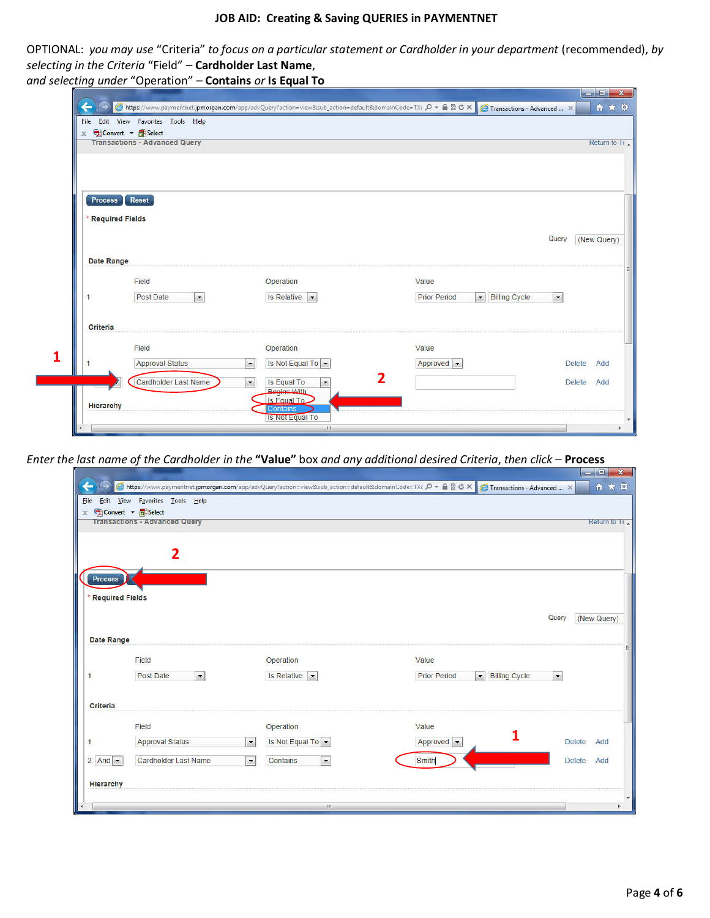#### JOB AID: Creating & Saving QUERIES in PAYMENTNET

OPTIONAL: you may use "Criteria" to focus on a particular statement or Cardholder in your department (recommended), by selecting in the Criteria "Field" - Cardholder Last Name,

and selecting under "Operation" – Contains or Is Equal To

|                   | x Convert + ESelect                  |                                                                     |                                                        |                      |
|-------------------|--------------------------------------|---------------------------------------------------------------------|--------------------------------------------------------|----------------------|
|                   | <b>Transactions - Advanced Query</b> |                                                                     |                                                        | Return to Tr         |
|                   |                                      |                                                                     |                                                        |                      |
|                   |                                      |                                                                     |                                                        |                      |
| Process           | Reset                                |                                                                     |                                                        |                      |
| * Required Fields |                                      |                                                                     |                                                        |                      |
|                   |                                      |                                                                     |                                                        | Query<br>(New Query) |
|                   |                                      |                                                                     |                                                        |                      |
| Date Range        |                                      |                                                                     |                                                        |                      |
|                   | Field                                | Operation                                                           | Value                                                  |                      |
| 1                 | Post Date<br>$\vert$                 | Is Relative                                                         | <b>Prior Period</b><br><b>Billing Cycle</b><br>$\cdot$ | $\vert \cdot \vert$  |
| Criteria          |                                      |                                                                     |                                                        |                      |
|                   | Field                                | Operation                                                           | Value                                                  |                      |
| 1.                | <b>Approval Status</b>               | $\cdot$<br>Is Not Equal To $\sim$                                   | Approved -                                             | <b>Delete</b><br>Add |
|                   | Cardholder Last Name                 | Is Equal To<br>$\overline{\phantom{a}}$<br>$\overline{\phantom{a}}$ | 2                                                      | <b>Delete</b><br>Add |
|                   |                                      | Regine With                                                         |                                                        |                      |

Enter the last name of the Cardholder in the "Value" box and any additional desired Criteria, then click – Process

|             |              |                   |                                                                                      |                                                                  | Shttps://www.paymentnet.jpmorgan.com/app/advQuery?action=view⊂_action=default&domainCode=TX{ $\rho$ = △ R d × C Transactions - Advanced  × | and the local property of the local<br>自大亞 |
|-------------|--------------|-------------------|--------------------------------------------------------------------------------------|------------------------------------------------------------------|--------------------------------------------------------------------------------------------------------------------------------------------|--------------------------------------------|
| <b>Eile</b> |              |                   | Edit View Favorites Tools Help                                                       |                                                                  |                                                                                                                                            |                                            |
|             |              |                   | $\times$ Q Convert $\bullet$ <b>Exercise</b><br><b>Transactions - Advanced Query</b> |                                                                  |                                                                                                                                            | Return to Try                              |
|             |              |                   |                                                                                      |                                                                  |                                                                                                                                            |                                            |
|             |              |                   | $\overline{2}$                                                                       |                                                                  |                                                                                                                                            |                                            |
|             |              |                   |                                                                                      |                                                                  |                                                                                                                                            |                                            |
|             |              | <b>Process</b>    |                                                                                      |                                                                  |                                                                                                                                            |                                            |
|             |              | * Required Fields |                                                                                      |                                                                  |                                                                                                                                            |                                            |
|             |              |                   |                                                                                      |                                                                  |                                                                                                                                            | Query<br>(New Query)                       |
|             |              |                   |                                                                                      |                                                                  |                                                                                                                                            |                                            |
|             |              | Date Range        |                                                                                      |                                                                  |                                                                                                                                            | Ξ                                          |
|             |              |                   | Field                                                                                | Operation                                                        | Value                                                                                                                                      |                                            |
|             | $\mathbf{1}$ |                   | Post Date<br>$\left  \cdot \right $                                                  | Is Relative $\vert \cdot \vert$                                  | <b>Prior Period</b><br>$\bullet$                                                                                                           | <b>Billing Cycle</b><br>$\bullet$          |
|             |              |                   |                                                                                      |                                                                  |                                                                                                                                            |                                            |
|             |              | Criteria          |                                                                                      |                                                                  |                                                                                                                                            |                                            |
|             |              |                   | Field                                                                                | Operation                                                        | Value                                                                                                                                      |                                            |
|             | 1            |                   | <b>Approval Status</b>                                                               | Is Not Equal To $\rightarrow$<br>$\blacktriangledown$            | Approved -                                                                                                                                 | <b>Delete</b><br>Add                       |
|             |              | $2$ And $\sim$    | <b>Cardholder Last Name</b>                                                          | $\overline{\phantom{a}}$<br>$\overline{\phantom{a}}$<br>Contains | <b>Smith</b>                                                                                                                               | <b>Delete</b><br>Add                       |
|             |              |                   |                                                                                      |                                                                  |                                                                                                                                            |                                            |
|             |              | <b>Hierarchy</b>  |                                                                                      |                                                                  |                                                                                                                                            |                                            |
|             |              |                   |                                                                                      | HI.                                                              |                                                                                                                                            |                                            |

 $\sim$   $\sim$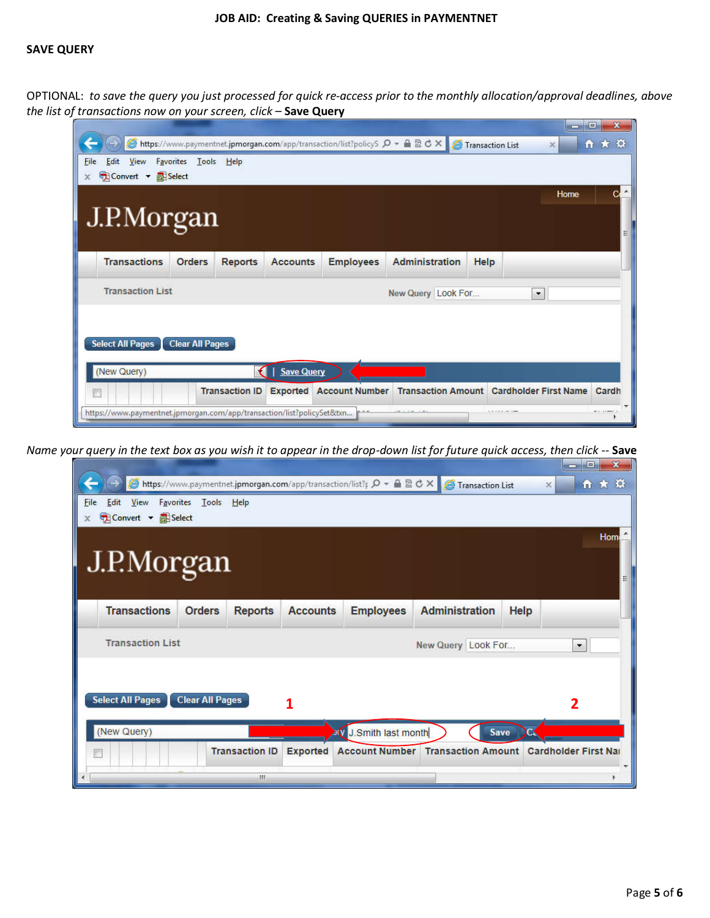## JOB AID: Creating & Saving QUERIES in PAYMENTNET

### SAVE QUERY

OPTIONAL: to save the query you just processed for quick re-access prior to the monthly allocation/approval deadlines, above the list of transactions now on your screen, click - Save Query

| <b>File</b><br>View<br>Edit<br>Convert • <b>E</b> Select<br>x | Favorites<br>Tools     | He             |                   | https://www.paymentnet.jpmorgan.com/app/transaction/list?policyS $\mathcal{P}$ = $\mathcal{P}$ $\mathcal{R}$ $\mathcal{C}$ X |                       | Transaction List | ×       | 自大袋 |
|---------------------------------------------------------------|------------------------|----------------|-------------------|------------------------------------------------------------------------------------------------------------------------------|-----------------------|------------------|---------|-----|
| J.P.Morgan                                                    |                        |                |                   |                                                                                                                              |                       |                  | Home    | С   |
| <b>Transactions</b>                                           | <b>Orders</b>          | <b>Reports</b> | <b>Accounts</b>   | <b>Employees</b>                                                                                                             | <b>Administration</b> | Help             |         |     |
| <b>Transaction List</b>                                       |                        |                |                   |                                                                                                                              | New Query Look For    |                  | $\vert$ |     |
| <b>Select All Pages</b>                                       | <b>Clear All Pages</b> |                |                   |                                                                                                                              |                       |                  |         |     |
|                                                               |                        |                |                   |                                                                                                                              |                       |                  |         |     |
| (New Query)                                                   |                        | €              | <b>Save Query</b> |                                                                                                                              |                       |                  |         |     |

Name your query in the text box as you wish it to appear in the drop-down list for future quick access, then click -- Save

|                                                                           |                        |                       |                 | <mark>● https://www.paymentnet.jpmorgan.com/app/transaction/list?p D → A 図 C ×  </mark> | Transaction List          |      | $\mathbf{x}$<br>$\Box$<br><b>SCORE</b><br>自大章<br>$\times$ |
|---------------------------------------------------------------------------|------------------------|-----------------------|-----------------|-----------------------------------------------------------------------------------------|---------------------------|------|-----------------------------------------------------------|
| View<br>Favorites<br>File<br>Edit<br>Convert v <b>EB</b> Select<br>$\chi$ | Tools Help             |                       |                 |                                                                                         |                           |      |                                                           |
|                                                                           |                        |                       |                 |                                                                                         |                           |      | Hom                                                       |
| J.P.Morgan                                                                |                        |                       |                 |                                                                                         |                           |      |                                                           |
| <b>Transactions</b>                                                       | <b>Orders</b>          | <b>Reports</b>        | <b>Accounts</b> | <b>Employees</b>                                                                        | <b>Administration</b>     | Help |                                                           |
| <b>Transaction List</b>                                                   |                        |                       |                 |                                                                                         | New Query Look For        |      | $\bullet$                                                 |
|                                                                           |                        |                       |                 |                                                                                         |                           |      |                                                           |
| <b>Select All Pages</b>                                                   | <b>Clear All Pages</b> |                       | 1               |                                                                                         |                           |      | $\overline{2}$                                            |
| (New Query)                                                               |                        |                       |                 | <b>EV J.Smith last month</b>                                                            |                           | Save |                                                           |
| D                                                                         |                        | <b>Transaction ID</b> | <b>Exported</b> | <b>Account Number</b>                                                                   | <b>Transaction Amount</b> |      | <b>Cardholder First Nat</b>                               |
|                                                                           |                        | Ш                     |                 |                                                                                         |                           |      |                                                           |